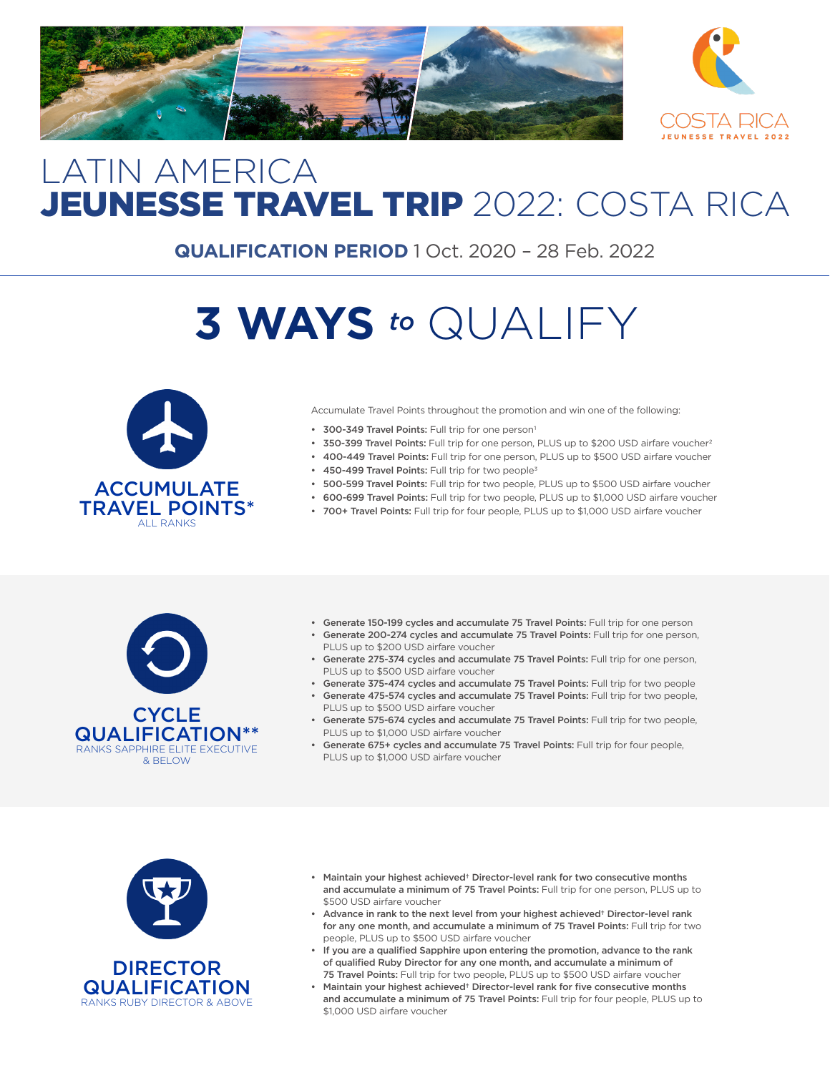



## LATIN AMERICA JEUNESSE TRAVEL TRIP 2022: COSTA RICA

**QUALIFICATION PERIOD** 1 Oct. 2020 – 28 Feb. 2022

# **3 WAYS** *to* QUALIFY



Accumulate Travel Points throughout the promotion and win one of the following:

- 300-349 Travel Points: Full trip for one person<sup>1</sup>
- 350-399 Travel Points: Full trip for one person, PLUS up to \$200 USD airfare voucher<sup>2</sup>
- 400-449 Travel Points: Full trip for one person, PLUS up to \$500 USD airfare voucher
- 450-499 Travel Points: Full trip for two people<sup>3</sup>
- 500-599 Travel Points: Full trip for two people, PLUS up to \$500 USD airfare voucher
- 600-699 Travel Points: Full trip for two people, PLUS up to \$1,000 USD airfare voucher
- 700+ Travel Points: Full trip for four people, PLUS up to \$1,000 USD airfare voucher



- Generate 150-199 cycles and accumulate 75 Travel Points: Full trip for one person • Generate 200-274 cycles and accumulate 75 Travel Points: Full trip for one person,
- PLUS up to \$200 USD airfare voucher
- Generate 275-374 cycles and accumulate 75 Travel Points: Full trip for one person, PLUS up to \$500 USD airfare voucher
- Generate 375-474 cycles and accumulate 75 Travel Points: Full trip for two people
- Generate 475-574 cycles and accumulate 75 Travel Points: Full trip for two people, PLUS up to \$500 USD airfare voucher
- Generate 575-674 cycles and accumulate 75 Travel Points: Full trip for two people, PLUS up to \$1,000 USD airfare voucher
- Generate 675+ cycles and accumulate 75 Travel Points: Full trip for four people, PLUS up to \$1,000 USD airfare voucher





- Maintain your highest achieved† Director-level rank for two consecutive months and accumulate a minimum of 75 Travel Points: Full trip for one person, PLUS up to \$500 USD airfare voucher
- Advance in rank to the next level from your highest achieved† Director-level rank for any one month, and accumulate a minimum of 75 Travel Points: Full trip for two people, PLUS up to \$500 USD airfare voucher
- If you are a qualified Sapphire upon entering the promotion, advance to the rank of qualified Ruby Director for any one month, and accumulate a minimum of 75 Travel Points: Full trip for two people, PLUS up to \$500 USD airfare voucher
- Maintain your highest achieved† Director-level rank for five consecutive months and accumulate a minimum of 75 Travel Points: Full trip for four people, PLUS up to \$1,000 USD airfare voucher